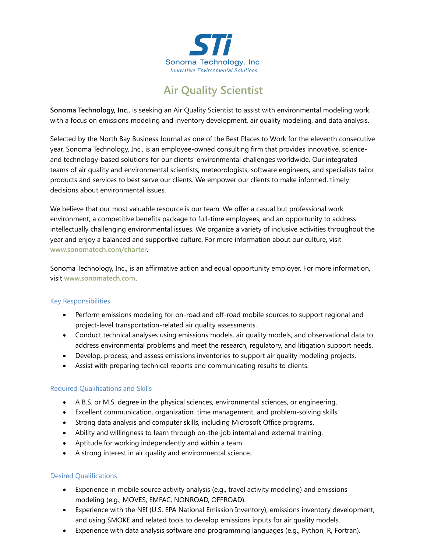

# **Air Quality Scientist**

**Sonoma Technology, Inc.,** is seeking an Air Quality Scientist to assist with environmental modeling work, with a focus on emissions modeling and inventory development, air quality modeling, and data analysis.

Selected by the North Bay Business Journal as one of the Best Places to Work for the eleventh consecutive year, Sonoma Technology, Inc., is an employee-owned consulting firm that provides innovative, scienceand technology-based solutions for our clients' environmental challenges worldwide. Our integrated teams of air quality and environmental scientists, meteorologists, software engineers, and specialists tailor products and services to best serve our clients. We empower our clients to make informed, timely decisions about environmental issues.

We believe that our most valuable resource is our team. We offer a casual but professional work environment, a competitive benefits package to full-time employees, and an opportunity to address intellectually challenging environmental issues. We organize a variety of inclusive activities throughout the year and enjoy a balanced and supportive culture. For more information about our culture, visit **[www.sonomatech.com/charter](http://www.sonomatech.com/charter)**.

Sonoma Technology, Inc., is an affirmative action and equal opportunity employer. For more information, visit **[www.sonomatech.com](http://www.sonomatech.com/)**.

## Key Responsibilities

- Perform emissions modeling for on-road and off-road mobile sources to support regional and project-level transportation-related air quality assessments.
- Conduct technical analyses using emissions models, air quality models, and observational data to address environmental problems and meet the research, regulatory, and litigation support needs.
- Develop, process, and assess emissions inventories to support air quality modeling projects.
- Assist with preparing technical reports and communicating results to clients.

#### Required Qualifications and Skills

- A B.S. or M.S. degree in the physical sciences, environmental sciences, or engineering.
- Excellent communication, organization, time management, and problem-solving skills.
- Strong data analysis and computer skills, including Microsoft Office programs.
- Ability and willingness to learn through on-the-job internal and external training.
- Aptitude for working independently and within a team.
- A strong interest in air quality and environmental science.

## Desired Qualifications

- Experience in mobile source activity analysis (e.g., travel activity modeling) and emissions modeling (e.g., MOVES, EMFAC, NONROAD, OFFROAD).
- Experience with the NEI (U.S. EPA National Emission Inventory), emissions inventory development, and using SMOKE and related tools to develop emissions inputs for air quality models.
- Experience with data analysis software and programming languages (e.g., Python, R, Fortran).